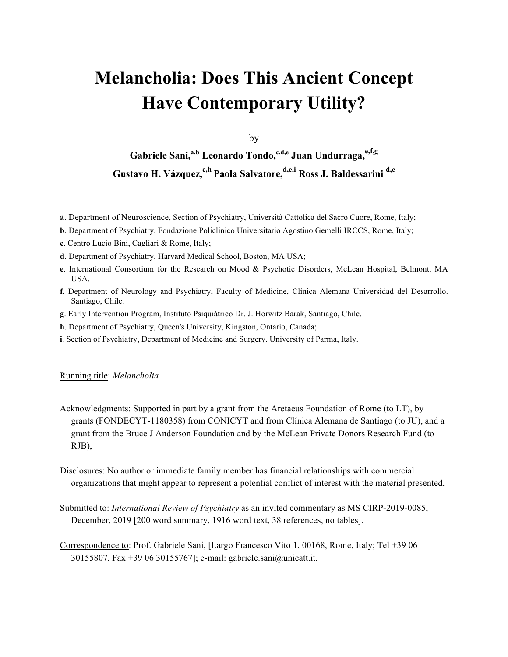# **Melancholia: Does This Ancient Concept Have Contemporary Utility?**

by

**Gabriele Sani, a,b Leonardo Tondo, c,d,e Juan Undurraga,e,f,g Gustavo H. Vázquez,e,h Paola Salvatore,d,e,i Ross J. Baldessarini d,e**

- **a**. Department of Neuroscience, Section of Psychiatry, Università Cattolica del Sacro Cuore, Rome, Italy;
- **b**. Department of Psychiatry, Fondazione Policlinico Universitario Agostino Gemelli IRCCS, Rome, Italy;
- **c**. Centro Lucio Bini, Cagliari & Rome, Italy;
- **d**. Department of Psychiatry, Harvard Medical School, Boston, MA USA;
- **e**. International Consortium for the Research on Mood & Psychotic Disorders, McLean Hospital, Belmont, MA USA.
- **f**. Department of Neurology and Psychiatry, Faculty of Medicine, Clínica Alemana Universidad del Desarrollo. Santiago, Chile.
- **g**. Early Intervention Program, Instituto Psiquiátrico Dr. J. Horwitz Barak, Santiago, Chile.
- **h**. Department of Psychiatry, Queen's University, Kingston, Ontario, Canada;
- **i**. Section of Psychiatry, Department of Medicine and Surgery. University of Parma, Italy.

#### Running title: *Melancholia*

Acknowledgments: Supported in part by a grant from the Aretaeus Foundation of Rome (to LT), by grants (FONDECYT-1180358) from CONICYT and from Clínica Alemana de Santiago (to JU), and a grant from the Bruce J Anderson Foundation and by the McLean Private Donors Research Fund (to RJB),

Disclosures: No author or immediate family member has financial relationships with commercial organizations that might appear to represent a potential conflict of interest with the material presented.

- Submitted to: *International Review of Psychiatry* as an invited commentary as MS CIRP-2019-0085, December, 2019 [200 word summary, 1916 word text, 38 references, no tables].
- Correspondence to: Prof. Gabriele Sani, [Largo Francesco Vito 1, 00168, Rome, Italy; Tel +39 06 30155807, Fax +39 06 30155767]; e-mail: gabriele.sani@unicatt.it.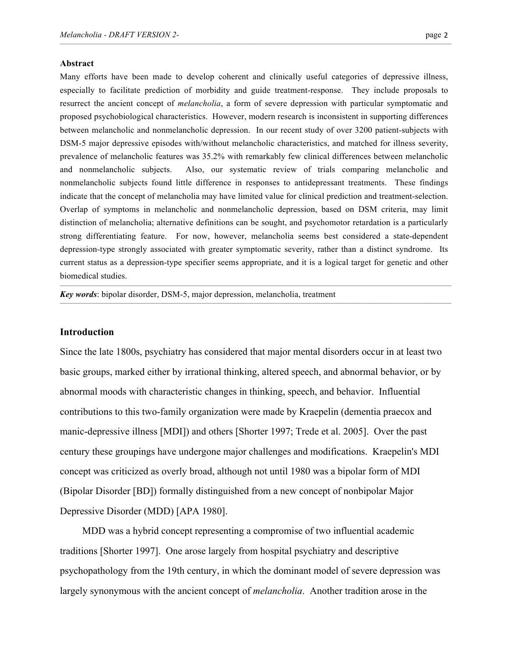#### **Abstract**

Many efforts have been made to develop coherent and clinically useful categories of depressive illness, especially to facilitate prediction of morbidity and guide treatment-response. They include proposals to resurrect the ancient concept of *melancholia*, a form of severe depression with particular symptomatic and proposed psychobiological characteristics. However, modern research is inconsistent in supporting differences between melancholic and nonmelancholic depression. In our recent study of over 3200 patient-subjects with DSM-5 major depressive episodes with/without melancholic characteristics, and matched for illness severity, prevalence of melancholic features was 35.2% with remarkably few clinical differences between melancholic and nonmelancholic subjects. Also, our systematic review of trials comparing melancholic and nonmelancholic subjects found little difference in responses to antidepressant treatments. These findings indicate that the concept of melancholia may have limited value for clinical prediction and treatment-selection. Overlap of symptoms in melancholic and nonmelancholic depression, based on DSM criteria, may limit distinction of melancholia; alternative definitions can be sought, and psychomotor retardation is a particularly strong differentiating feature. For now, however, melancholia seems best considered a state-dependent depression-type strongly associated with greater symptomatic severity, rather than a distinct syndrome. Its current status as a depression-type specifier seems appropriate, and it is a logical target for genetic and other biomedical studies.

———————————————————————————————————————————————————————————

———————————————————————————————————————————————————————————

*Key words*: bipolar disorder, DSM-5, major depression, melancholia, treatment

#### **Introduction**

Since the late 1800s, psychiatry has considered that major mental disorders occur in at least two basic groups, marked either by irrational thinking, altered speech, and abnormal behavior, or by abnormal moods with characteristic changes in thinking, speech, and behavior. Influential contributions to this two-family organization were made by Kraepelin (dementia praecox and manic-depressive illness [MDI]) and others [Shorter 1997; Trede et al. 2005]. Over the past century these groupings have undergone major challenges and modifications. Kraepelin's MDI concept was criticized as overly broad, although not until 1980 was a bipolar form of MDI (Bipolar Disorder [BD]) formally distinguished from a new concept of nonbipolar Major Depressive Disorder (MDD) [APA 1980].

MDD was a hybrid concept representing a compromise of two influential academic traditions [Shorter 1997]. One arose largely from hospital psychiatry and descriptive psychopathology from the 19th century, in which the dominant model of severe depression was largely synonymous with the ancient concept of *melancholia*. Another tradition arose in the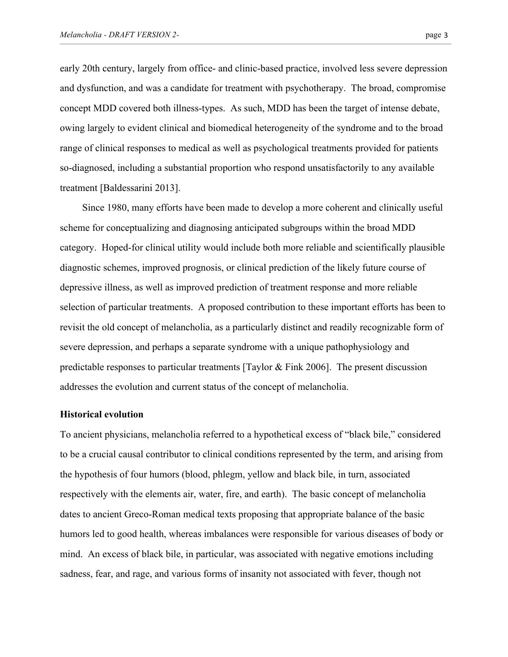early 20th century, largely from office- and clinic-based practice, involved less severe depression and dysfunction, and was a candidate for treatment with psychotherapy. The broad, compromise concept MDD covered both illness-types. As such, MDD has been the target of intense debate, owing largely to evident clinical and biomedical heterogeneity of the syndrome and to the broad range of clinical responses to medical as well as psychological treatments provided for patients so-diagnosed, including a substantial proportion who respond unsatisfactorily to any available treatment [Baldessarini 2013].

 $\mathcal{L}=\{1,2,3,4,5\}$  , we can consider the constant of  $\mathcal{L}=\{1,3,4,5\}$ 

Since 1980, many efforts have been made to develop a more coherent and clinically useful scheme for conceptualizing and diagnosing anticipated subgroups within the broad MDD category. Hoped-for clinical utility would include both more reliable and scientifically plausible diagnostic schemes, improved prognosis, or clinical prediction of the likely future course of depressive illness, as well as improved prediction of treatment response and more reliable selection of particular treatments. A proposed contribution to these important efforts has been to revisit the old concept of melancholia, as a particularly distinct and readily recognizable form of severe depression, and perhaps a separate syndrome with a unique pathophysiology and predictable responses to particular treatments [Taylor & Fink 2006]. The present discussion addresses the evolution and current status of the concept of melancholia.

#### **Historical evolution**

To ancient physicians, melancholia referred to a hypothetical excess of "black bile," considered to be a crucial causal contributor to clinical conditions represented by the term, and arising from the hypothesis of four humors (blood, phlegm, yellow and black bile, in turn, associated respectively with the elements air, water, fire, and earth). The basic concept of melancholia dates to ancient Greco-Roman medical texts proposing that appropriate balance of the basic humors led to good health, whereas imbalances were responsible for various diseases of body or mind. An excess of black bile, in particular, was associated with negative emotions including sadness, fear, and rage, and various forms of insanity not associated with fever, though not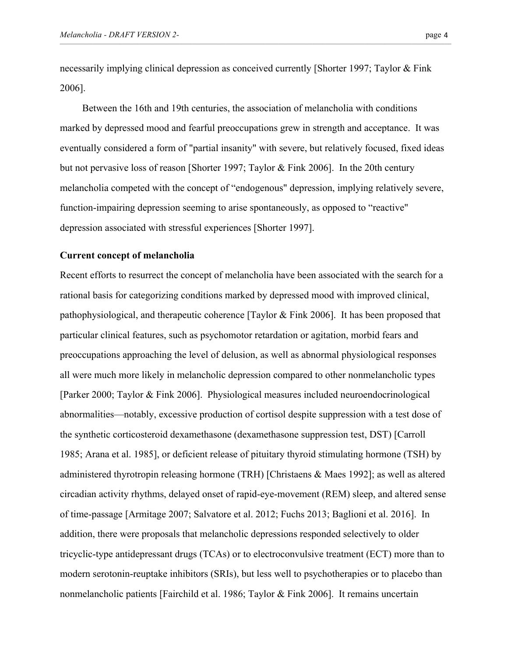necessarily implying clinical depression as conceived currently [Shorter 1997; Taylor & Fink 2006].

 $\mathcal{L}=\{1,2,3,4,5\}$  , we can consider the constant of  $\mathcal{L}=\{1,3,4,5\}$ 

Between the 16th and 19th centuries, the association of melancholia with conditions marked by depressed mood and fearful preoccupations grew in strength and acceptance. It was eventually considered a form of "partial insanity" with severe, but relatively focused, fixed ideas but not pervasive loss of reason [Shorter 1997; Taylor & Fink 2006]. In the 20th century melancholia competed with the concept of "endogenous" depression, implying relatively severe, function-impairing depression seeming to arise spontaneously, as opposed to "reactive" depression associated with stressful experiences [Shorter 1997].

#### **Current concept of melancholia**

Recent efforts to resurrect the concept of melancholia have been associated with the search for a rational basis for categorizing conditions marked by depressed mood with improved clinical, pathophysiological, and therapeutic coherence [Taylor & Fink 2006]. It has been proposed that particular clinical features, such as psychomotor retardation or agitation, morbid fears and preoccupations approaching the level of delusion, as well as abnormal physiological responses all were much more likely in melancholic depression compared to other nonmelancholic types [Parker 2000; Taylor & Fink 2006]. Physiological measures included neuroendocrinological abnormalities—notably, excessive production of cortisol despite suppression with a test dose of the synthetic corticosteroid dexamethasone (dexamethasone suppression test, DST) [Carroll 1985; Arana et al. 1985], or deficient release of pituitary thyroid stimulating hormone (TSH) by administered thyrotropin releasing hormone (TRH) [Christaens & Maes 1992]; as well as altered circadian activity rhythms, delayed onset of rapid-eye-movement (REM) sleep, and altered sense of time-passage [Armitage 2007; Salvatore et al. 2012; Fuchs 2013; Baglioni et al. 2016]. In addition, there were proposals that melancholic depressions responded selectively to older tricyclic-type antidepressant drugs (TCAs) or to electroconvulsive treatment (ECT) more than to modern serotonin-reuptake inhibitors (SRIs), but less well to psychotherapies or to placebo than nonmelancholic patients [Fairchild et al. 1986; Taylor & Fink 2006]. It remains uncertain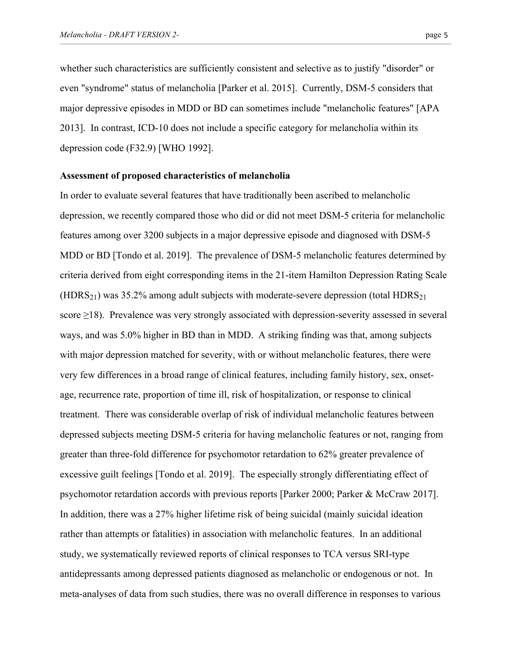whether such characteristics are sufficiently consistent and selective as to justify "disorder" or even "syndrome" status of melancholia [Parker et al. 2015]. Currently, DSM-5 considers that major depressive episodes in MDD or BD can sometimes include "melancholic features" [APA 2013]. In contrast, ICD-10 does not include a specific category for melancholia within its depression code (F32.9) [WHO 1992].

 $\mathcal{L}=\{1,2,3,4,5\}$  , we can consider the constant of  $\mathcal{L}=\{1,3,4,5\}$ 

#### **Assessment of proposed characteristics of melancholia**

In order to evaluate several features that have traditionally been ascribed to melancholic depression, we recently compared those who did or did not meet DSM-5 criteria for melancholic features among over 3200 subjects in a major depressive episode and diagnosed with DSM-5 MDD or BD [Tondo et al. 2019]. The prevalence of DSM-5 melancholic features determined by criteria derived from eight corresponding items in the 21-item Hamilton Depression Rating Scale  $(HDRS<sub>21</sub>)$  was 35.2% among adult subjects with moderate-severe depression (total HDRS<sub>21</sub>) score  $\geq$ 18). Prevalence was very strongly associated with depression-severity assessed in several ways, and was 5.0% higher in BD than in MDD. A striking finding was that, among subjects with major depression matched for severity, with or without melancholic features, there were very few differences in a broad range of clinical features, including family history, sex, onsetage, recurrence rate, proportion of time ill, risk of hospitalization, or response to clinical treatment. There was considerable overlap of risk of individual melancholic features between depressed subjects meeting DSM-5 criteria for having melancholic features or not, ranging from greater than three-fold difference for psychomotor retardation to 62% greater prevalence of excessive guilt feelings [Tondo et al. 2019]. The especially strongly differentiating effect of psychomotor retardation accords with previous reports [Parker 2000; Parker & McCraw 2017]. In addition, there was a 27% higher lifetime risk of being suicidal (mainly suicidal ideation rather than attempts or fatalities) in association with melancholic features. In an additional study, we systematically reviewed reports of clinical responses to TCA versus SRI-type antidepressants among depressed patients diagnosed as melancholic or endogenous or not. In meta-analyses of data from such studies, there was no overall difference in responses to various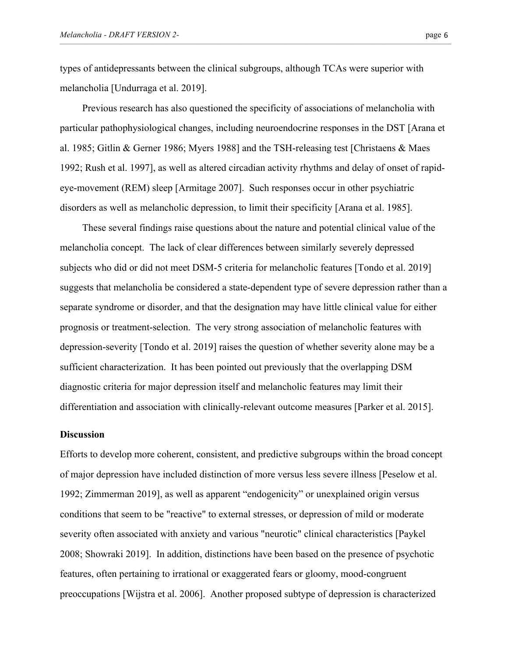types of antidepressants between the clinical subgroups, although TCAs were superior with melancholia [Undurraga et al. 2019].

 $\mathcal{L}=\{1,2,3,4,5\}$  , we can consider the constant of  $\mathcal{L}=\{1,3,4,5\}$ 

Previous research has also questioned the specificity of associations of melancholia with particular pathophysiological changes, including neuroendocrine responses in the DST [Arana et al. 1985; Gitlin & Gerner 1986; Myers 1988] and the TSH-releasing test [Christaens & Maes 1992; Rush et al. 1997], as well as altered circadian activity rhythms and delay of onset of rapideye-movement (REM) sleep [Armitage 2007]. Such responses occur in other psychiatric disorders as well as melancholic depression, to limit their specificity [Arana et al. 1985].

These several findings raise questions about the nature and potential clinical value of the melancholia concept. The lack of clear differences between similarly severely depressed subjects who did or did not meet DSM-5 criteria for melancholic features [Tondo et al. 2019] suggests that melancholia be considered a state-dependent type of severe depression rather than a separate syndrome or disorder, and that the designation may have little clinical value for either prognosis or treatment-selection. The very strong association of melancholic features with depression-severity [Tondo et al. 2019] raises the question of whether severity alone may be a sufficient characterization. It has been pointed out previously that the overlapping DSM diagnostic criteria for major depression itself and melancholic features may limit their differentiation and association with clinically-relevant outcome measures [Parker et al. 2015].

#### **Discussion**

Efforts to develop more coherent, consistent, and predictive subgroups within the broad concept of major depression have included distinction of more versus less severe illness [Peselow et al. 1992; Zimmerman 2019], as well as apparent "endogenicity" or unexplained origin versus conditions that seem to be "reactive" to external stresses, or depression of mild or moderate severity often associated with anxiety and various "neurotic" clinical characteristics [Paykel 2008; Showraki 2019]. In addition, distinctions have been based on the presence of psychotic features, often pertaining to irrational or exaggerated fears or gloomy, mood-congruent preoccupations [Wijstra et al. 2006]. Another proposed subtype of depression is characterized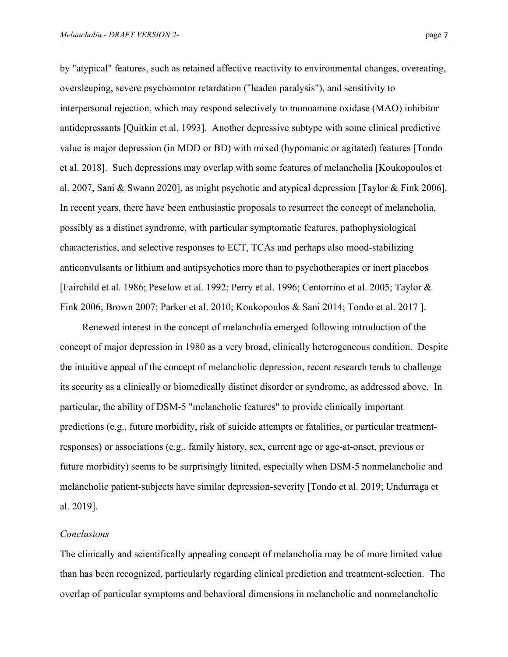by "atypical" features, such as retained affective reactivity to environmental changes, overeating, oversleeping, severe psychomotor retardation ("leaden paralysis"), and sensitivity to interpersonal rejection, which may respond selectively to monoamine oxidase (MAO) inhibitor antidepressants [Quitkin et al. 1993]. Another depressive subtype with some clinical predictive value is major depression (in MDD or BD) with mixed (hypomanic or agitated) features [Tondo et al. 2018]. Such depressions may overlap with some features of melancholia [Koukopoulos et al. 2007, Sani & Swann 2020], as might psychotic and atypical depression [Taylor & Fink 2006]. In recent years, there have been enthusiastic proposals to resurrect the concept of melancholia, possibly as a distinct syndrome, with particular symptomatic features, pathophysiological characteristics, and selective responses to ECT, TCAs and perhaps also mood-stabilizing anticonvulsants or lithium and antipsychotics more than to psychotherapies or inert placebos [Fairchild et al. 1986; Peselow et al. 1992; Perry et al. 1996; Centorrino et al. 2005; Taylor & Fink 2006; Brown 2007; Parker et al. 2010; Koukopoulos & Sani 2014; Tondo et al. 2017 ].

 $\mathcal{L}=\{1,2,3,4,5\}$  , we can consider the constant of  $\mathcal{L}=\{1,3,4,5\}$ 

Renewed interest in the concept of melancholia emerged following introduction of the concept of major depression in 1980 as a very broad, clinically heterogeneous condition. Despite the intuitive appeal of the concept of melancholic depression, recent research tends to challenge its security as a clinically or biomedically distinct disorder or syndrome, as addressed above. In particular, the ability of DSM-5 "melancholic features" to provide clinically important predictions (e.g., future morbidity, risk of suicide attempts or fatalities, or particular treatmentresponses) or associations (e.g., family history, sex, current age or age-at-onset, previous or future morbidity) seems to be surprisingly limited, especially when DSM-5 nonmelancholic and melancholic patient-subjects have similar depression-severity [Tondo et al. 2019; Undurraga et al. 2019].

### *Conclusions*

The clinically and scientifically appealing concept of melancholia may be of more limited value than has been recognized, particularly regarding clinical prediction and treatment-selection. The overlap of particular symptoms and behavioral dimensions in melancholic and nonmelancholic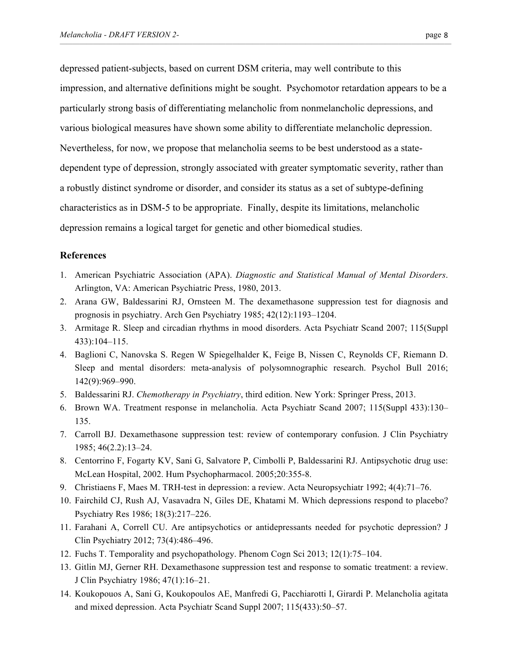depressed patient-subjects, based on current DSM criteria, may well contribute to this impression, and alternative definitions might be sought. Psychomotor retardation appears to be a particularly strong basis of differentiating melancholic from nonmelancholic depressions, and various biological measures have shown some ability to differentiate melancholic depression. Nevertheless, for now, we propose that melancholia seems to be best understood as a statedependent type of depression, strongly associated with greater symptomatic severity, rather than a robustly distinct syndrome or disorder, and consider its status as a set of subtype-defining characteristics as in DSM-5 to be appropriate. Finally, despite its limitations, melancholic depression remains a logical target for genetic and other biomedical studies.

 $\mathcal{L}=\{1,2,3,4,5\}$  , we can consider the constant of  $\mathcal{L}=\{1,3,4,5\}$ 

## **References**

- 1. American Psychiatric Association (APA). *Diagnostic and Statistical Manual of Mental Disorders*. Arlington, VA: American Psychiatric Press, 1980, 2013.
- 2. Arana GW, Baldessarini RJ, Ornsteen M. The dexamethasone suppression test for diagnosis and prognosis in psychiatry. Arch Gen Psychiatry 1985; 42(12):1193–1204.
- 3. Armitage R. Sleep and circadian rhythms in mood disorders. Acta Psychiatr Scand 2007; 115(Suppl 433):104–115.
- 4. Baglioni C, Nanovska S. Regen W Spiegelhalder K, Feige B, Nissen C, Reynolds CF, Riemann D. Sleep and mental disorders: meta-analysis of polysomnographic research. Psychol Bull 2016; 142(9):969–990.
- 5. Baldessarini RJ. *Chemotherapy in Psychiatry*, third edition. New York: Springer Press, 2013.
- 6. Brown WA. Treatment response in melancholia. Acta Psychiatr Scand 2007; 115(Suppl 433):130– 135.
- 7. Carroll BJ. Dexamethasone suppression test: review of contemporary confusion. J Clin Psychiatry 1985; 46(2.2):13–24.
- 8. Centorrino F, Fogarty KV, Sani G, Salvatore P, Cimbolli P, Baldessarini RJ. Antipsychotic drug use: McLean Hospital, 2002. Hum Psychopharmacol. 2005;20:355-8.
- 9. Christiaens F, Maes M. TRH-test in depression: a review. Acta Neuropsychiatr 1992; 4(4):71–76.
- 10. Fairchild CJ, Rush AJ, Vasavadra N, Giles DE, Khatami M. Which depressions respond to placebo? Psychiatry Res 1986; 18(3):217–226.
- 11. Farahani A, Correll CU. Are antipsychotics or antidepressants needed for psychotic depression? J Clin Psychiatry 2012; 73(4):486–496.
- 12. Fuchs T. Temporality and psychopathology. Phenom Cogn Sci 2013; 12(1):75–104.
- 13. Gitlin MJ, Gerner RH. Dexamethasone suppression test and response to somatic treatment: a review. J Clin Psychiatry 1986; 47(1):16–21.
- 14. Koukopouos A, Sani G, Koukopoulos AE, Manfredi G, Pacchiarotti I, Girardi P. Melancholia agitata and mixed depression. Acta Psychiatr Scand Suppl 2007; 115(433):50–57.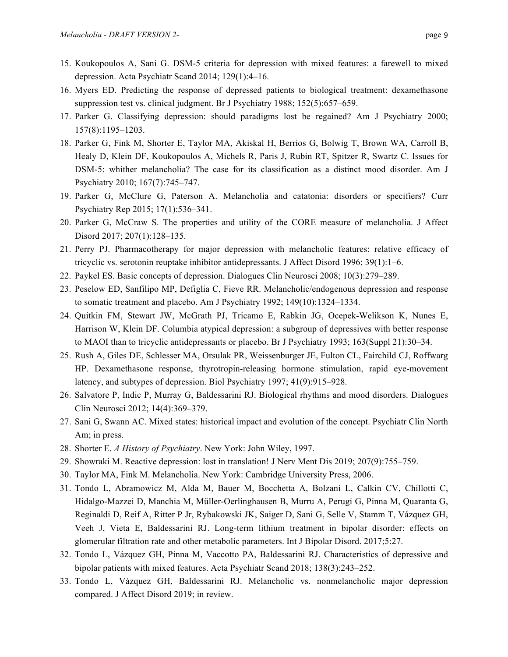15. Koukopoulos A, Sani G. DSM-5 criteria for depression with mixed features: a farewell to mixed depression. Acta Psychiatr Scand 2014; 129(1):4–16.

 $\mathcal{L}=\{1,2,3,4,5\}$  , we can consider the constant of  $\mathcal{L}=\{1,3,4,5\}$ 

- 16. Myers ED. Predicting the response of depressed patients to biological treatment: dexamethasone suppression test vs. clinical judgment. Br J Psychiatry 1988; 152(5):657–659.
- 17. Parker G. Classifying depression: should paradigms lost be regained? Am J Psychiatry 2000; 157(8):1195–1203.
- 18. Parker G, Fink M, Shorter E, Taylor MA, Akiskal H, Berrios G, Bolwig T, Brown WA, Carroll B, Healy D, Klein DF, Koukopoulos A, Michels R, Paris J, Rubin RT, Spitzer R, Swartz C. Issues for DSM-5: whither melancholia? The case for its classification as a distinct mood disorder. Am J Psychiatry 2010; 167(7):745–747.
- 19. Parker G, McClure G, Paterson A. Melancholia and catatonia: disorders or specifiers? Curr Psychiatry Rep 2015; 17(1):536–341.
- 20. Parker G, McCraw S. The properties and utility of the CORE measure of melancholia. J Affect Disord 2017; 207(1):128–135.
- 21. Perry PJ. Pharmacotherapy for major depression with melancholic features: relative efficacy of tricyclic vs. serotonin reuptake inhibitor antidepressants. J Affect Disord 1996; 39(1):1–6.
- 22. Paykel ES. Basic concepts of depression. Dialogues Clin Neurosci 2008; 10(3):279–289.
- 23. Peselow ED, Sanfilipo MP, Defiglia C, Fieve RR. Melancholic/endogenous depression and response to somatic treatment and placebo. Am J Psychiatry 1992; 149(10):1324–1334.
- 24. Quitkin FM, Stewart JW, McGrath PJ, Tricamo E, Rabkin JG, Ocepek-Welikson K, Nunes E, Harrison W, Klein DF. Columbia atypical depression: a subgroup of depressives with better response to MAOI than to tricyclic antidepressants or placebo. Br J Psychiatry 1993; 163(Suppl 21):30–34.
- 25. Rush A, Giles DE, Schlesser MA, Orsulak PR, Weissenburger JE, Fulton CL, Fairchild CJ, Roffwarg HP. Dexamethasone response, thyrotropin-releasing hormone stimulation, rapid eye-movement latency, and subtypes of depression. Biol Psychiatry 1997; 41(9):915–928.
- 26. Salvatore P, Indic P, Murray G, Baldessarini RJ. Biological rhythms and mood disorders. Dialogues Clin Neurosci 2012; 14(4):369–379.
- 27. Sani G, Swann AC. Mixed states: historical impact and evolution of the concept. Psychiatr Clin North Am; in press.
- 28. Shorter E. *A History of Psychiatry*. New York: John Wiley, 1997.
- 29. Showraki M. Reactive depression: lost in translation! J Nerv Ment Dis 2019; 207(9):755–759.
- 30. Taylor MA, Fink M. Melancholia. New York: Cambridge University Press, 2006.
- 31. Tondo L, Abramowicz M, Alda M, Bauer M, Bocchetta A, Bolzani L, Calkin CV, Chillotti C, Hidalgo-Mazzei D, Manchia M, Müller-Oerlinghausen B, Murru A, Perugi G, Pinna M, Quaranta G, Reginaldi D, Reif A, Ritter P Jr, Rybakowski JK, Saiger D, Sani G, Selle V, Stamm T, Vázquez GH, Veeh J, Vieta E, Baldessarini RJ. Long-term lithium treatment in bipolar disorder: effects on glomerular filtration rate and other metabolic parameters. Int J Bipolar Disord. 2017;5:27.
- 32. Tondo L, Vázquez GH, Pinna M, Vaccotto PA, Baldessarini RJ. Characteristics of depressive and bipolar patients with mixed features. Acta Psychiatr Scand 2018; 138(3):243–252.
- 33. Tondo L, Vázquez GH, Baldessarini RJ. Melancholic vs. nonmelancholic major depression compared. J Affect Disord 2019; in review.